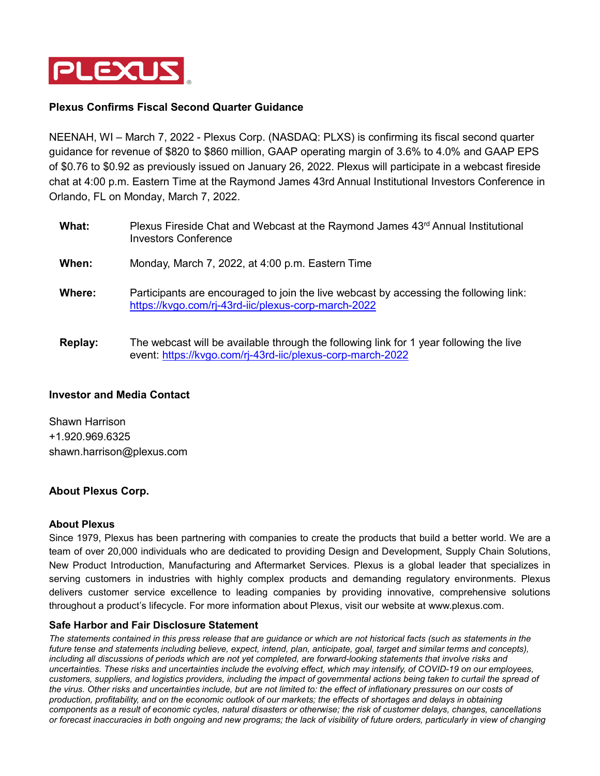

# **Plexus Confirms Fiscal Second Quarter Guidance**

NEENAH, WI – March 7, 2022 - Plexus Corp. (NASDAQ: PLXS) is confirming its fiscal second quarter guidance for revenue of \$820 to \$860 million, GAAP operating margin of 3.6% to 4.0% and GAAP EPS of \$0.76 to \$0.92 as previously issued on January 26, 2022. Plexus will participate in a webcast fireside chat at 4:00 p.m. Eastern Time at the Raymond James 43rd Annual Institutional Investors Conference in Orlando, FL on Monday, March 7, 2022.

- What: Plexus Fireside Chat and Webcast at the Raymond James 43<sup>rd</sup> Annual Institutional Investors Conference **When:** Monday, March 7, 2022, at 4:00 p.m. Eastern Time **Where:** Participants are encouraged to join the live webcast by accessing the following link: <https://kvgo.com/rj-43rd-iic/plexus-corp-march-2022>
- **Replay:** The webcast will be available through the following link for 1 year following the live event:<https://kvgo.com/rj-43rd-iic/plexus-corp-march-2022>

## **Investor and Media Contact**

Shawn Harrison +1.920.969.6325 shawn.harrison@plexus.com

## **About Plexus Corp.**

#### **About Plexus**

Since 1979, Plexus has been partnering with companies to create the products that build a better world. We are a team of over 20,000 individuals who are dedicated to providing Design and Development, Supply Chain Solutions, New Product Introduction, Manufacturing and Aftermarket Services. Plexus is a global leader that specializes in serving customers in industries with highly complex products and demanding regulatory environments. Plexus delivers customer service excellence to leading companies by providing innovative, comprehensive solutions throughout a product's lifecycle. For more information about Plexus, visit our website at www.plexus.com.

#### **Safe Harbor and Fair Disclosure Statement**

*The statements contained in this press release that are guidance or which are not historical facts (such as statements in the future tense and statements including believe, expect, intend, plan, anticipate, goal, target and similar terms and concepts), including all discussions of periods which are not yet completed, are forward-looking statements that involve risks and uncertainties. These risks and uncertainties include the evolving effect, which may intensify, of COVID-19 on our employees, customers, suppliers, and logistics providers, including the impact of governmental actions being taken to curtail the spread of the virus. Other risks and uncertainties include, but are not limited to: the effect of inflationary pressures on our costs of production, profitability, and on the economic outlook of our markets; the effects of shortages and delays in obtaining components as a result of economic cycles, natural disasters or otherwise; the risk of customer delays, changes, cancellations or forecast inaccuracies in both ongoing and new programs; the lack of visibility of future orders, particularly in view of changing*